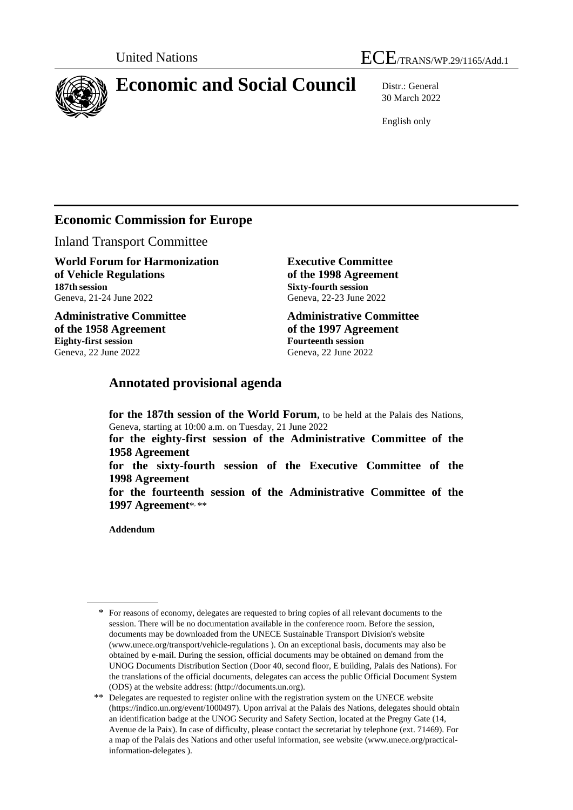

# **Economic and Social Council** Distr.: General

30 March 2022

English only

## **Economic Commission for Europe**

Inland Transport Committee

**World Forum for Harmonization of Vehicle Regulations 187th session** Geneva, 21-24 June 2022

**Administrative Committee of the 1958 Agreement Eighty-first session** Geneva, 22 June 2022

**Executive Committee of the 1998 Agreement Sixty-fourth session** Geneva, 22-23 June 2022

**Administrative Committee of the 1997 Agreement Fourteenth session** Geneva, 22 June 2022

## **Annotated provisional agenda**

**for the 187th session of the World Forum,** to be held at the Palais des Nations, Geneva, starting at 10:00 a.m. on Tuesday, 21 June 2022

**for the eighty-first session of the Administrative Committee of the 1958 Agreement**

**for the sixty-fourth session of the Executive Committee of the 1998 Agreement**

**for the fourteenth session of the Administrative Committee of the 1997 Agreement**\* , \*\*

**Addendum**

<sup>\*</sup> For reasons of economy, delegates are requested to bring copies of all relevant documents to the session. There will be no documentation available in the conference room. Before the session, documents may be downloaded from the UNECE Sustainable Transport Division's website [\(www.unece.org/transport/vehicle-regulations](http://www.unece.org/transport/vehicle-regulations) ). On an exceptional basis, documents may also be obtained by e-mail. During the session, official documents may be obtained on demand from the UNOG Documents Distribution Section (Door 40, second floor, E building, Palais des Nations). For the translations of the official documents, delegates can access the public Official Document System (ODS) at the website address: (http://documents.un.org).

<sup>\*\*</sup> Delegates are requested to register online with the registration system on the UNECE website [\(https://indico.un.org/event/1000497\)](https://indico.un.org/event/1000497). Upon arrival at the Palais des Nations, delegates should obtain an identification badge at the UNOG Security and Safety Section, located at the Pregny Gate (14, Avenue de la Paix). In case of difficulty, please contact the secretariat by telephone (ext. 71469). For a map of the Palais des Nations and other useful information, see website [\(www.unece.org/practical](http://www.unece.org/practical-information-delegates)[information-delegates](http://www.unece.org/practical-information-delegates) ).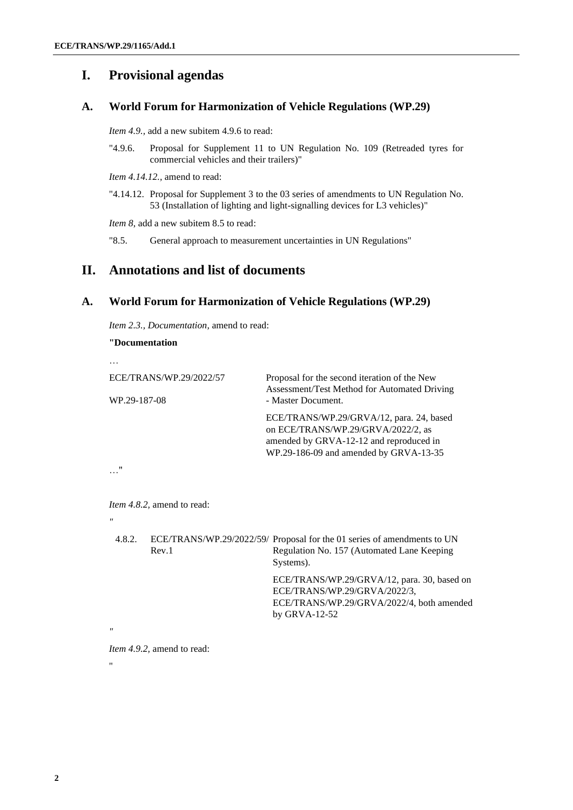## **I. Provisional agendas**

#### **A. World Forum for Harmonization of Vehicle Regulations (WP.29)**

*Item 4.9.,* add a new subitem 4.9.6 to read:

"4.9.6. Proposal for Supplement 11 to UN Regulation No. 109 (Retreaded tyres for commercial vehicles and their trailers)"

*Item 4.14.12.,* amend to read:

"4.14.12. Proposal for Supplement 3 to the 03 series of amendments to UN Regulation No. 53 (Installation of lighting and light-signalling devices for L3 vehicles)"

*Item 8*, add a new subitem 8.5 to read:

"8.5. General approach to measurement uncertainties in UN Regulations"

#### **II. Annotations and list of documents**

#### **A. World Forum for Harmonization of Vehicle Regulations (WP.29)**

*Item 2.3., Documentation,* amend to read:

```
"Documentation
…
ECE/TRANS/WP.29/2022/57
WP.29-187-08
                                   Proposal for the second iteration of the New 
                                   Assessment/Test Method for Automated Driving 
                                   - Master Document.
                                   ECE/TRANS/WP.29/GRVA/12, para. 24, based 
                                   on ECE/TRANS/WP.29/GRVA/2022/2, as 
                                   amended by GRVA-12-12 and reproduced in 
                                   WP.29-186-09 and amended by GRVA-13-35
…"
Item 4.8.2, amend to read:
"
 4.8.2. ECE/TRANS/WP.29/2022/59/
Proposal for the 01 series of amendments to UN 
         Rev.1
                                     Regulation No. 157 (Automated Lane Keeping 
                                     Systems).
                                     ECE/TRANS/WP.29/GRVA/12, para. 30, based on 
                                     ECE/TRANS/WP.29/GRVA/2022/3, 
                                     ECE/TRANS/WP.29/GRVA/2022/4, both amended 
                                     by GRVA-12-52
"
```
*Item 4.9.2,* amend to read:

"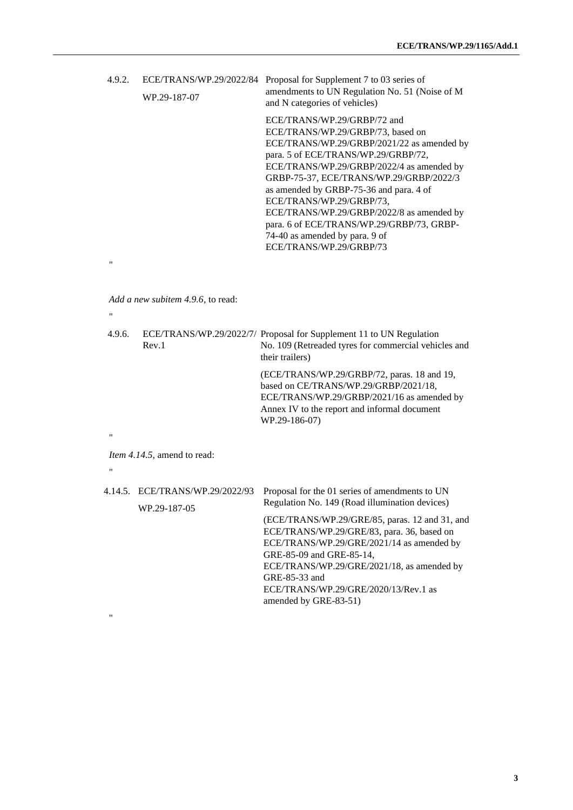| 4.9.2. |              | ECE/TRANS/WP.29/2022/84 Proposal for Supplement 7 to 03 series of                |
|--------|--------------|----------------------------------------------------------------------------------|
|        | WP.29-187-07 | amendments to UN Regulation No. 51 (Noise of M)<br>and N categories of vehicles) |
|        |              | ECE/TRANS/WP.29/GRBP/72 and                                                      |

ECE/TRANS/WP.29/GRBP/73, based on ECE/TRANS/WP.29/GRBP/2021/22 as amended by para. 5 of ECE/TRANS/WP.29/GRBP/72, ECE/TRANS/WP.29/GRBP/2022/4 as amended by GRBP-75-37, ECE/TRANS/WP.29/GRBP/2022/3 as amended by GRBP-75-36 and para. 4 of ECE/TRANS/WP.29/GRBP/73, ECE/TRANS/WP.29/GRBP/2022/8 as amended by para. 6 of ECE/TRANS/WP.29/GRBP/73, GRBP-74-40 as amended by para. 9 of ECE/TRANS/WP.29/GRBP/73

*Add a new subitem 4.9.6,* to read:

"

 $\ddot{ }$ 

| 4.9.6.<br>Rev.1 | ECE/TRANS/WP.29/2022/7/ Proposal for Supplement 11 to UN Regulation<br>No. 109 (Retreaded tyres for commercial vehicles and                                                                                                                                                  |
|-----------------|------------------------------------------------------------------------------------------------------------------------------------------------------------------------------------------------------------------------------------------------------------------------------|
|                 | their trailers)                                                                                                                                                                                                                                                              |
|                 | (ECE/TRANS/WP.29/GRBP/72, paras. 18 and 19,<br>based on CE/TRANS/WP.29/GRBP/2021/18,<br>ECE/TRANS/WP.29/GRBP/2021/16 as amended by<br>Annex IV to the report and informal document<br>WP.29-186-07)                                                                          |
|                 |                                                                                                                                                                                                                                                                              |
|                 |                                                                                                                                                                                                                                                                              |
| WP.29-187-05    | Proposal for the 01 series of amendments to UN                                                                                                                                                                                                                               |
|                 | Regulation No. 149 (Road illumination devices)                                                                                                                                                                                                                               |
|                 | (ECE/TRANS/WP.29/GRE/85, paras. 12 and 31, and<br>ECE/TRANS/WP.29/GRE/83, para. 36, based on<br>ECE/TRANS/WP.29/GRE/2021/14 as amended by<br>GRE-85-09 and GRE-85-14,<br>ECE/TRANS/WP.29/GRE/2021/18, as amended by<br>GRE-85-33 and<br>ECE/TRANS/WP.29/GRE/2020/13/Rev.1 as |
|                 | <i>Item 4.14.5</i> , amend to read:<br>4.14.5. ECE/TRANS/WP.29/2022/93                                                                                                                                                                                                       |